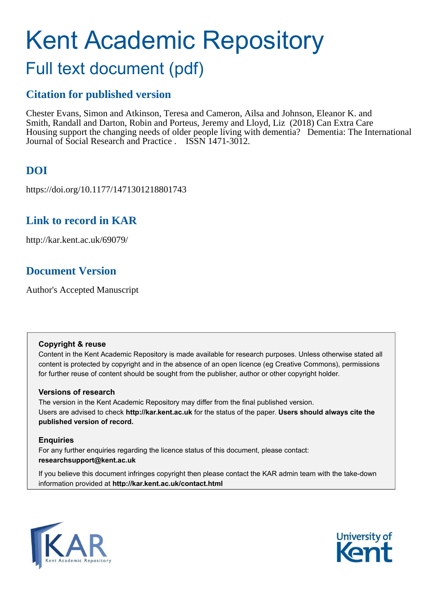# Kent Academic Repository

## Full text document (pdf)

## **Citation for published version**

Chester Evans, Simon and Atkinson, Teresa and Cameron, Ailsa and Johnson, Eleanor K. and Smith, Randall and Darton, Robin and Porteus, Jeremy and Lloyd, Liz (2018) Can Extra Care Housing support the changing needs of older people living with dementia? Dementia: The International Journal of Social Research and Practice . ISSN 1471-3012.

## **DOI**

https://doi.org/10.1177/1471301218801743

## **Link to record in KAR**

http://kar.kent.ac.uk/69079/

## **Document Version**

Author's Accepted Manuscript

#### **Copyright & reuse**

Content in the Kent Academic Repository is made available for research purposes. Unless otherwise stated all content is protected by copyright and in the absence of an open licence (eg Creative Commons), permissions for further reuse of content should be sought from the publisher, author or other copyright holder.

#### **Versions of research**

The version in the Kent Academic Repository may differ from the final published version. Users are advised to check **http://kar.kent.ac.uk** for the status of the paper. **Users should always cite the published version of record.**

#### **Enquiries**

For any further enquiries regarding the licence status of this document, please contact: **researchsupport@kent.ac.uk**

If you believe this document infringes copyright then please contact the KAR admin team with the take-down information provided at **http://kar.kent.ac.uk/contact.html**



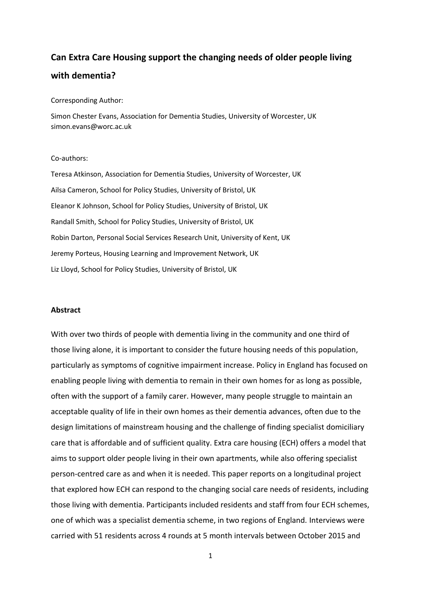## **Can Extra Care Housing support the changing needs of older people living with dementia?**

Corresponding Author:

Simon Chester Evans, Association for Dementia Studies, University of Worcester, UK simon.evans@worc.ac.uk

#### Co-authors:

Teresa Atkinson, Association for Dementia Studies, University of Worcester, UK Ailsa Cameron, School for Policy Studies, University of Bristol, UK Eleanor K Johnson, School for Policy Studies, University of Bristol, UK Randall Smith, School for Policy Studies, University of Bristol, UK Robin Darton, Personal Social Services Research Unit, University of Kent, UK Jeremy Porteus, Housing Learning and Improvement Network, UK Liz Lloyd, School for Policy Studies, University of Bristol, UK

#### **Abstract**

With over two thirds of people with dementia living in the community and one third of those living alone, it is important to consider the future housing needs of this population, particularly as symptoms of cognitive impairment increase. Policy in England has focused on enabling people living with dementia to remain in their own homes for as long as possible, often with the support of a family carer. However, many people struggle to maintain an acceptable quality of life in their own homes as their dementia advances, often due to the design limitations of mainstream housing and the challenge of finding specialist domiciliary care that is affordable and of sufficient quality. Extra care housing (ECH) offers a model that aims to support older people living in their own apartments, while also offering specialist person-centred care as and when it is needed. This paper reports on a longitudinal project that explored how ECH can respond to the changing social care needs of residents, including those living with dementia. Participants included residents and staff from four ECH schemes, one of which was a specialist dementia scheme, in two regions of England. Interviews were carried with 51 residents across 4 rounds at 5 month intervals between October 2015 and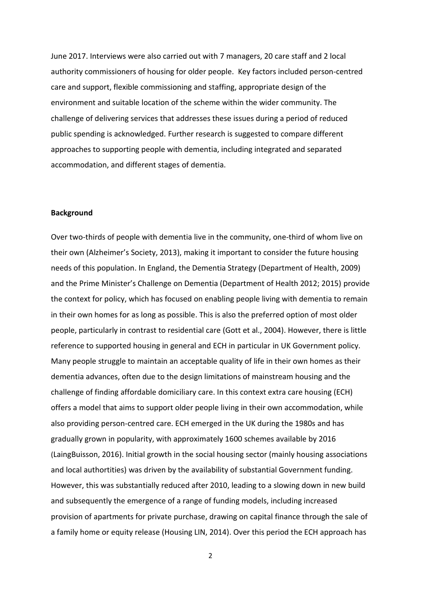June 2017. Interviews were also carried out with 7 managers, 20 care staff and 2 local authority commissioners of housing for older people. Key factors included person-centred care and support, flexible commissioning and staffing, appropriate design of the environment and suitable location of the scheme within the wider community. The challenge of delivering services that addresses these issues during a period of reduced public spending is acknowledged. Further research is suggested to compare different approaches to supporting people with dementia, including integrated and separated accommodation, and different stages of dementia.

#### **Background**

Over two-thirds of people with dementia live in the community, one-third of whom live on their own (Alzheimer's Society, 2013), making it important to consider the future housing needs of this population. In England, the Dementia Strategy (Department of Health, 2009) and the Prime Minister's Challenge on Dementia (Department of Health 2012; 2015) provide the context for policy, which has focused on enabling people living with dementia to remain in their own homes for as long as possible. This is also the preferred option of most older people, particularly in contrast to residential care (Gott et al., 2004). However, there is little reference to supported housing in general and ECH in particular in UK Government policy. Many people struggle to maintain an acceptable quality of life in their own homes as their dementia advances, often due to the design limitations of mainstream housing and the challenge of finding affordable domiciliary care. In this context extra care housing (ECH) offers a model that aims to support older people living in their own accommodation, while also providing person-centred care. ECH emerged in the UK during the 1980s and has gradually grown in popularity, with approximately 1600 schemes available by 2016 (LaingBuisson, 2016). Initial growth in the social housing sector (mainly housing associations and local authortities) was driven by the availability of substantial Government funding. However, this was substantially reduced after 2010, leading to a slowing down in new build and subsequently the emergence of a range of funding models, including increased provision of apartments for private purchase, drawing on capital finance through the sale of a family home or equity release (Housing LIN, 2014). Over this period the ECH approach has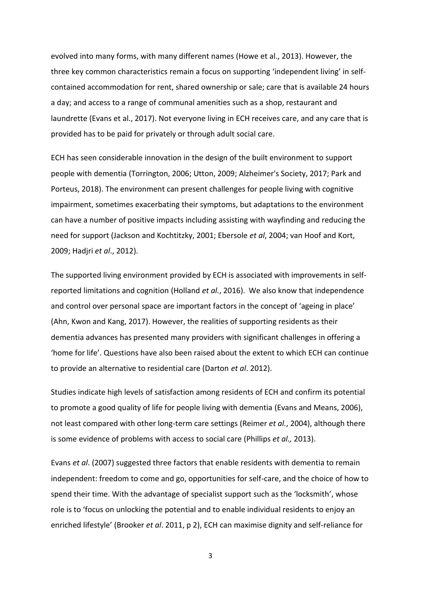evolved into many forms, with many different names (Howe et al., 2013). However, the three key common characteristics remain a focus on supporting 'independent living' in selfcontained accommodation for rent, shared ownership or sale; care that is available 24 hours a day; and access to a range of communal amenities such as a shop, restaurant and laundrette (Evans et al., 2017). Not everyone living in ECH receives care, and any care that is provided has to be paid for privately or through adult social care.

ECH has seen considerable innovation in the design of the built environment to support people with dementia (Torrington, 2006; Utton, 2009; Alzheimer's Society, 2017; Park and Porteus, 2018). The environment can present challenges for people living with cognitive impairment, sometimes exacerbating their symptoms, but adaptations to the environment can have a number of positive impacts including assisting with wayfinding and reducing the need for support (Jackson and Kochtitzky, 2001; Ebersole *et al*, 2004; van Hoof and Kort, 2009; Hadjri *et al*., 2012).

The supported living environment provided by ECH is associated with improvements in selfreported limitations and cognition (Holland *et al.*, 2016). We also know that independence and control over personal space are important factors in the concept of 'ageing in place' (Ahn, Kwon and Kang, 2017). However, the realities of supporting residents as their dementia advances has presented many providers with significant challenges in offering a thome for life'. Questions have also been raised about the extent to which ECH can continue to provide an alternative to residential care (Darton *et al*. 2012).

Studies indicate high levels of satisfaction among residents of ECH and confirm its potential to promote a good quality of life for people living with dementia (Evans and Means, 2006), not least compared with other long-term care settings (Reimer *et al.*, 2004), although there is some evidence of problems with access to social care (Phillips *et al.,* 2013).

Evans *et al*. (2007) suggested three factors that enable residents with dementia to remain independent: freedom to come and go, opportunities for self-care, and the choice of how to spend their time. With the advantage of specialist support such as the 'locksmith', whose role is to 'focus on unlocking the potential and to enable individual residents to enjoy an enriched lifestyle' (Brooker *et al.* 2011, p 2), ECH can maximise dignity and self-reliance for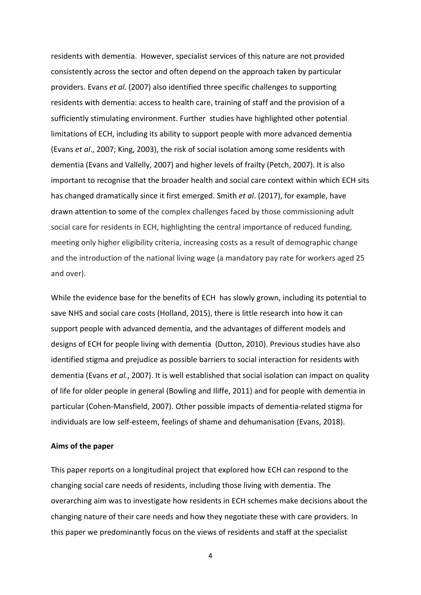residents with dementia. However, specialist services of this nature are not provided consistently across the sector and often depend on the approach taken by particular providers. Evans *et al*. (2007) also identified three specific challenges to supporting residents with dementia: access to health care, training of staff and the provision of a sufficiently stimulating environment. Further studies have highlighted other potential limitations of ECH, including its ability to support people with more advanced dementia (Evans *et al*., 2007; King, 2003), the risk of social isolation among some residents with dementia (Evans and Vallelly, 2007) and higher levels of frailty (Petch, 2007). It is also important to recognise that the broader health and social care context within which ECH sits has changed dramatically since it first emerged. Smith *et al*. (2017), for example, have drawn attention to some of the complex challenges faced by those commissioning adult social care for residents in ECH, highlighting the central importance of reduced funding, meeting only higher eligibility criteria, increasing costs as a result of demographic change and the introduction of the national living wage (a mandatory pay rate for workers aged 25 and over).

While the evidence base for the benefits of ECH has slowly grown, including its potential to save NHS and social care costs (Holland, 2015), there is little research into how it can support people with advanced dementia, and the advantages of different models and designs of ECH for people living with dementia (Dutton, 2010). Previous studies have also identified stigma and prejudice as possible barriers to social interaction for residents with dementia (Evans *et al.*, 2007). It is well established that social isolation can impact on quality of life for older people in general (Bowling and Iliffe, 2011) and for people with dementia in particular (Cohen-Mansfield, 2007). Other possible impacts of dementia-related stigma for individuals are low self-esteem, feelings of shame and dehumanisation (Evans, 2018).

#### **Aims of the paper**

This paper reports on a longitudinal project that explored how ECH can respond to the changing social care needs of residents, including those living with dementia. The overarching aim was to investigate how residents in ECH schemes make decisions about the changing nature of their care needs and how they negotiate these with care providers. In this paper we predominantly focus on the views of residents and staff at the specialist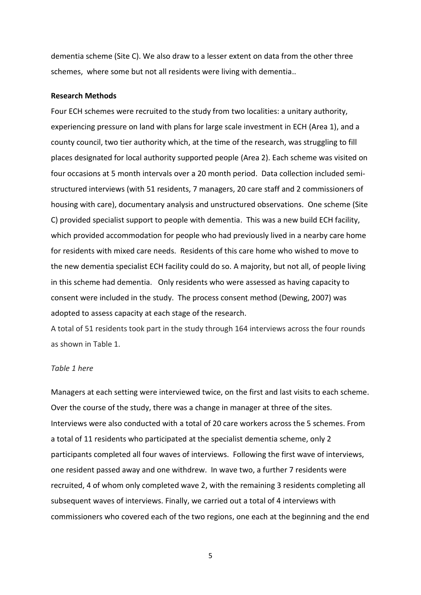dementia scheme (Site C). We also draw to a lesser extent on data from the other three schemes, where some but not all residents were living with dementia..

#### **Research Methods**

Four ECH schemes were recruited to the study from two localities: a unitary authority, experiencing pressure on land with plans for large scale investment in ECH (Area 1), and a county council, two tier authority which, at the time of the research, was struggling to fill places designated for local authority supported people (Area 2). Each scheme was visited on four occasions at 5 month intervals over a 20 month period. Data collection included semistructured interviews (with 51 residents, 7 managers, 20 care staff and 2 commissioners of housing with care), documentary analysis and unstructured observations. One scheme (Site C) provided specialist support to people with dementia. This was a new build ECH facility, which provided accommodation for people who had previously lived in a nearby care home for residents with mixed care needs. Residents of this care home who wished to move to the new dementia specialist ECH facility could do so. A majority, but not all, of people living in this scheme had dementia. Only residents who were assessed as having capacity to consent were included in the study. The process consent method (Dewing, 2007) was adopted to assess capacity at each stage of the research.

A total of 51 residents took part in the study through 164 interviews across the four rounds as shown in Table 1.

#### *Table 1 here*

Managers at each setting were interviewed twice, on the first and last visits to each scheme. Over the course of the study, there was a change in manager at three of the sites. Interviews were also conducted with a total of 20 care workers across the 5 schemes. From a total of 11 residents who participated at the specialist dementia scheme, only 2 participants completed all four waves of interviews. Following the first wave of interviews, one resident passed away and one withdrew. In wave two, a further 7 residents were recruited, 4 of whom only completed wave 2, with the remaining 3 residents completing all subsequent waves of interviews. Finally, we carried out a total of 4 interviews with commissioners who covered each of the two regions, one each at the beginning and the end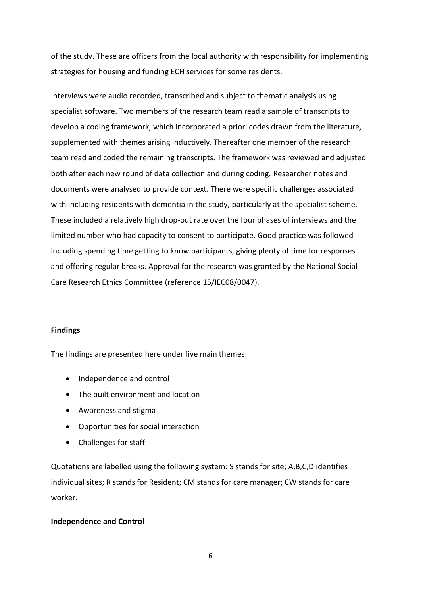of the study. These are officers from the local authority with responsibility for implementing strategies for housing and funding ECH services for some residents.

Interviews were audio recorded, transcribed and subject to thematic analysis using specialist software. Two members of the research team read a sample of transcripts to develop a coding framework, which incorporated a priori codes drawn from the literature, supplemented with themes arising inductively. Thereafter one member of the research team read and coded the remaining transcripts. The framework was reviewed and adjusted both after each new round of data collection and during coding. Researcher notes and documents were analysed to provide context. There were specific challenges associated with including residents with dementia in the study, particularly at the specialist scheme. These included a relatively high drop-out rate over the four phases of interviews and the limited number who had capacity to consent to participate. Good practice was followed including spending time getting to know participants, giving plenty of time for responses and offering regular breaks. Approval for the research was granted by the National Social Care Research Ethics Committee (reference 15/IEC08/0047).

#### **Findings**

The findings are presented here under five main themes:

- Independence and control
- The built environment and location
- Awareness and stigma
- Opportunities for social interaction
- Challenges for staff

Quotations are labelled using the following system: S stands for site; A,B,C,D identifies individual sites; R stands for Resident; CM stands for care manager; CW stands for care worker.

#### **Independence and Control**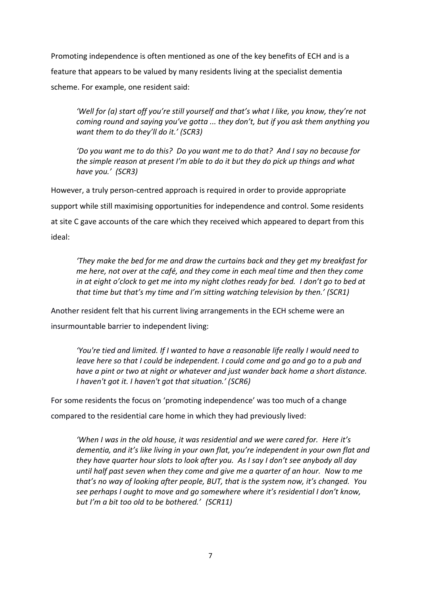Promoting independence is often mentioned as one of the key benefits of ECH and is a feature that appears to be valued by many residents living at the specialist dementia scheme. For example, one resident said:

*'Well for (a) start off you're still yourself and that's what I like, you know, they're not Coming round and saying you've gotta ... they don't, but if you ask them anything you want them to do they'll do it.' (SCR3)* 

*けDo you want me to do this? Do you want me to do that? And I say no because for*  the simple reason at present I'm able to do it but they do pick up things and what *have you.げ (SCR3)*

However, a truly person-centred approach is required in order to provide appropriate support while still maximising opportunities for independence and control. Some residents at site C gave accounts of the care which they received which appeared to depart from this ideal:

*They make the bed for me and draw the curtains back and they get my breakfast for me here, not over at the cafÈ, and they come in each meal time and then they come in at eight o'clock to get me into my night clothes ready for bed. I don't go to bed at that time but that's my time and I'm sitting watching television by then.' (SCR1)* 

Another resident felt that his current living arrangements in the ECH scheme were an insurmountable barrier to independent living:

*You're tied and limited. If I wanted to have a reasonable life really I would need to leave here so that I could be independent. I could come and go and go to a pub and have a pint or two at night or whatever and just wander back home a short distance. I* haven't got it. *I haven't got that situation.'* (SCR6)

For some residents the focus on 'promoting independence' was too much of a change compared to the residential care home in which they had previously lived:

*(When I was in the old house, it was residential and we were cared for. Here it's dementia, and it's like living in your own flat, you're independent in your own flat and they have quarter hour slots to look after you.* As I say I don't see anybody all day *until half past seven when they come and give me a quarter of an hour. Now to me that's no way of looking after people, BUT, that is the system now, it's changed. You* see perhaps I ought to move and go somewhere where it's residential I don't know, *hut I'm a bit too old to be bothered.' (SCR11)*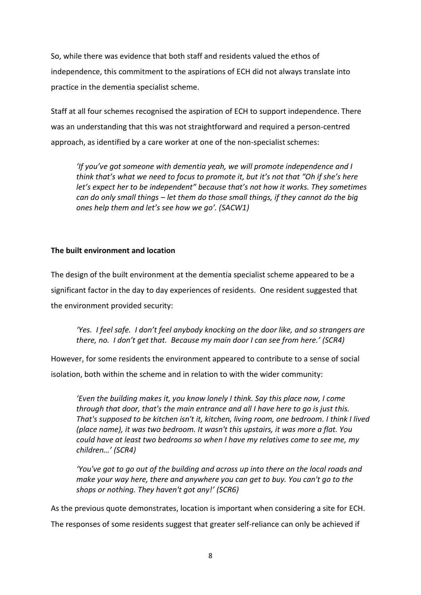So, while there was evidence that both staff and residents valued the ethos of independence, this commitment to the aspirations of ECH did not always translate into practice in the dementia specialist scheme.

Staff at all four schemes recognised the aspiration of ECH to support independence. There was an understanding that this was not straightforward and required a person-centred approach, as identified by a care worker at one of the non-specialist schemes:

*If you've got someone with dementia yeah, we will promote independence and I think that's what we need to focus to promote it, but it's not that "Oh if she's here let*'s expect her to be independent" because that's not how it works. They sometimes *can do only small things に let them do those small things, if they cannot do the big <u><i>ones help them and let's see how we ao'. (SACW1)*</u>

#### **The built environment and location**

The design of the built environment at the dementia specialist scheme appeared to be a significant factor in the day to day experiences of residents. One resident suggested that the environment provided security:

*Yes.* I feel safe. I don't feel anybody knocking on the door like, and so strangers are *there, no. I don't get that. Because my main door I can see from here.' (SCR4)* 

However, for some residents the environment appeared to contribute to a sense of social isolation, both within the scheme and in relation to with the wider community:

*Even the building makes it, you know lonely I think. Say this place now, I come through that door, that's the main entrance and all I have here to go is just this. That's supposed to be kitchen isn't it, kitchen, living room, one bedroom. I think I lived (place name), it was two bedroom. It wasn't this upstairs, it was more a flat. You could have at least two bedrooms so when I have my relatives come to see me, my children...'* (SCR4)

*You've got to go out of the building and across up into there on the local roads and make your way here, there and anywhere you can get to buy. You can't go to the shops or nothing. They haven't got any!' (SCR6)* 

As the previous quote demonstrates, location is important when considering a site for ECH.

The responses of some residents suggest that greater self-reliance can only be achieved if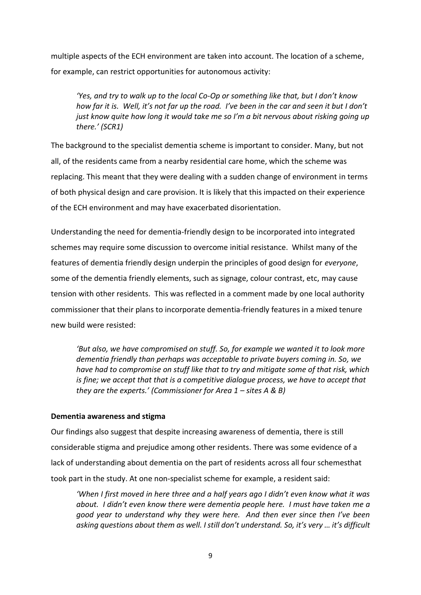multiple aspects of the ECH environment are taken into account. The location of a scheme, for example, can restrict opportunities for autonomous activity:

*Yes, and try to walk up to the local Co-Op or something like that, but I don't know how far it is. Well, it's not far up the road. I've been in the car and seen it but I don't just know quite how long it would take me so I'm a bit nervous about risking going up there.'* (SCR1)

The background to the specialist dementia scheme is important to consider. Many, but not all, of the residents came from a nearby residential care home, which the scheme was replacing. This meant that they were dealing with a sudden change of environment in terms of both physical design and care provision. It is likely that this impacted on their experience of the ECH environment and may have exacerbated disorientation.

Understanding the need for dementia-friendly design to be incorporated into integrated schemes may require some discussion to overcome initial resistance. Whilst many of the features of dementia friendly design underpin the principles of good design for *everyone*, some of the dementia friendly elements, such as signage, colour contrast, etc, may cause tension with other residents. This was reflected in a comment made by one local authority commissioner that their plans to incorporate dementia-friendly features in a mixed tenure new build were resisted:

*けB┌デ also, we have compromised on stuff. So, for example we wanted it to look more dementia friendly than perhaps was acceptable to private buyers coming in. So, we have had to compromise on stuff like that to try and mitigate some of that risk, which is fine; we accept that that is a competitive dialogue process, we have to accept that they are the experts.' (Commissioner for Area 1 – sites A & B)* 

#### **Dementia awareness and stigma**

Our findings also suggest that despite increasing awareness of dementia, there is still considerable stigma and prejudice among other residents. There was some evidence of a lack of understanding about dementia on the part of residents across all four schemesthat took part in the study. At one non-specialist scheme for example, a resident said:

*'When I first moved in here three and a half years ago I didn't even know what it was cabout. I didn't even know there were dementia people here. I must have taken me a* good year to understand why they were here. And then ever since then I've been *asking questions about them as well. I still don't understand. So, it's very ... it's difficult*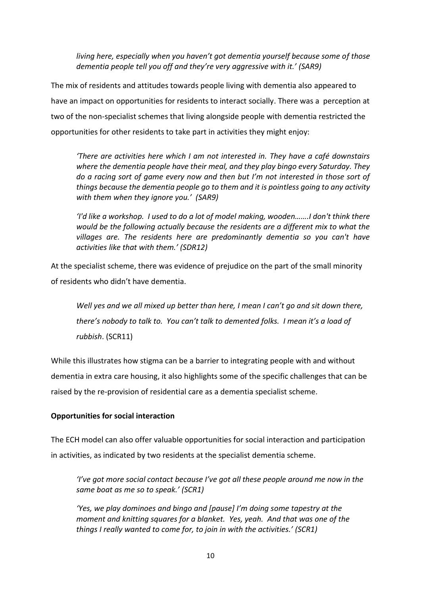living here, especially when you haven't got dementia yourself because some of those dementia people tell you off and they're very aggressive with it.' (SAR9)

The mix of residents and attitudes towards people living with dementia also appeared to have an impact on opportunities for residents to interact socially. There was a perception at two of the non-specialist schemes that living alongside people with dementia restricted the opportunities for other residents to take part in activities they might enjoy:

There are activities here which I am not interested in. They have a café downstairs where the dementia people have their meal, and they play bingo every Saturday. They do a racing sort of game every now and then but I'm not interested in those sort of things because the dementia people go to them and it is pointless going to any activity with them when they ignore you.' (SAR9)

'I'd like a workshop. I used to do a lot of model makina, wooden.......I don't think there would be the following actually because the residents are a different mix to what the villages are. The residents here are predominantly dementia so you can't have activities like that with them.' (SDR12)

At the specialist scheme, there was evidence of prejudice on the part of the small minority of residents who didn't have dementia.

Well yes and we all mixed up better than here, I mean I can't go and sit down there, there's nobody to talk to. You can't talk to demented folks. I mean it's a load of rubbish. (SCR11)

While this illustrates how stigma can be a barrier to integrating people with and without dementia in extra care housing, it also highlights some of the specific challenges that can be raised by the re-provision of residential care as a dementia specialist scheme.

#### Opportunities for social interaction

The ECH model can also offer valuable opportunities for social interaction and participation in activities, as indicated by two residents at the specialist dementia scheme.

'I've got more social contact because I've got all these people around me now in the same boat as me so to speak.' (SCR1)

'Yes, we play dominoes and bingo and [pause] I'm doing some tapestry at the moment and knitting squares for a blanket. Yes, yeah. And that was one of the things I really wanted to come for, to join in with the activities.' (SCR1)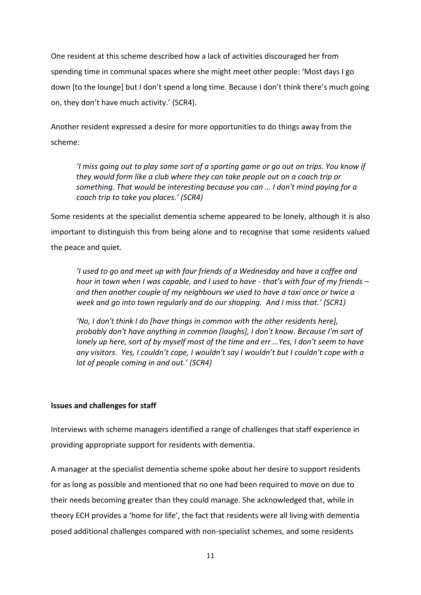One resident at this scheme described how a lack of activities discouraged her from spending time in communal spaces where she might meet other people: 'Most days I go down [to the lounge] but I don't spend a long time. Because I don't think there's much going on, they don't have much activity.' (SCR4).

Another resident expressed a desire for more opportunities to do things away from the scheme:

*I miss going out to play some sort of a sporting game or go out on trips. You know if they would form like a club where they can take people out on a coach trip or Something. That would be interesting because you can ... I don't mind paying for a Coach trip to take you places.' (SCR4)* 

Some residents at the specialist dementia scheme appeared to be lonely, although it is also important to distinguish this from being alone and to recognise that some residents valued the peace and quiet.

*I* used to go and meet up with four friends of a Wednesday and have a coffee and *hour in town when I was capable, and I used to have - that's with four of my friends – and then another couple of my neighbours we used to have a taxi once or twice a week and go into town regularly and do our shopping. And I miss that.' (SCR1)* 

*けNo, I don't think I do [have things in common with the other residents here], probably don't have anything in common [laughs], I don't know. Because I'm sort of <i><u>Ionely up here, sort of by myself most of the time and err ... Yes, I don't seem to have*</u> *any visitors. Yes, I couldn't cope, I wouldn't say I wouldn't but I couldn't cope with a <i><u>Iot</u> of people coming in and out.' (SCR4)* 

#### **Issues and challenges for staff**

Interviews with scheme managers identified a range of challenges that staff experience in providing appropriate support for residents with dementia.

A manager at the specialist dementia scheme spoke about her desire to support residents for as long as possible and mentioned that no one had been required to move on due to their needs becoming greater than they could manage. She acknowledged that, while in theory ECH provides a 'home for life', the fact that residents were all living with dementia posed additional challenges compared with non-specialist schemes, and some residents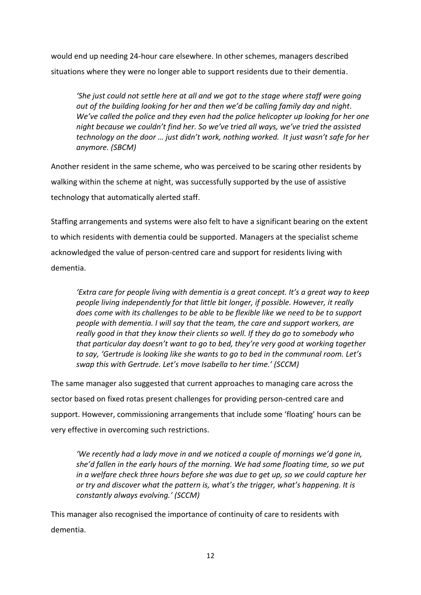would end up needing 24-hour care elsewhere. In other schemes, managers described situations where they were no longer able to support residents due to their dementia.

*f* the just could not settle here at all and we got to the stage where staff were going *<u><i>out of the building looking for her and then we'd be calling family day and night.*</u> *We've called the police and they even had the police helicopter up looking for her one* right because we couldn't find her. So we've tried all ways, we've tried the assisted *technology on the door ... just didn't work, nothing worked. It just wasn't safe for her anymore. (SBCM)* 

Another resident in the same scheme, who was perceived to be scaring other residents by walking within the scheme at night, was successfully supported by the use of assistive technology that automatically alerted staff.

Staffing arrangements and systems were also felt to have a significant bearing on the extent to which residents with dementia could be supported. Managers at the specialist scheme acknowledged the value of person-centred care and support for residents living with dementia.

*Extra care for people living with dementia is a great concept. It's a great way to keep people living independently for that little bit longer, if possible. However, it really does come with its challenges to be able to be flexible like we need to be to support people with dementia. I will say that the team, the care and support workers, are really good in that they know their clients so well. If they do go to somebody who that particular day doesn't want to go to bed, they're very good at working together to say, 'Gertrude is looking like she wants to go to bed in the communal room. Let's swap this with Gertrude. Let's move Isabella to her time.' (SCCM)* 

The same manager also suggested that current approaches to managing care across the sector based on fixed rotas present challenges for providing person-centred care and support. However, commissioning arrangements that include some 'floating' hours can be very effective in overcoming such restrictions.

*f* We recently had a lady move in and we noticed a couple of mornings we'd gone in, *she'd fallen in the early hours of the morning. We had some floating time, so we put in a welfare check three hours before she was due to get up, so we could capture her or try and discover what the pattern is, what's the trigger, what's happening. It is constantly always evolving.<sup>'</sup> (SCCM)* 

This manager also recognised the importance of continuity of care to residents with dementia.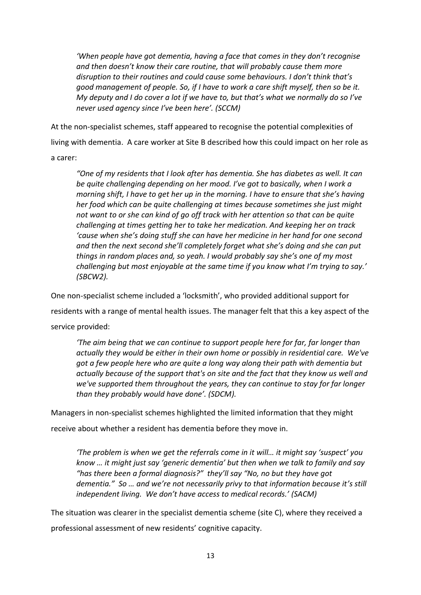*'When people have got dementia, having a face that comes in they don't recognise* and then doesn't know their care routine, that will probably cause them more disruption to their routines and could cause some behaviours. I don't think that's *good management of people. So, if I have to work a care shift myself, then so be it. My deputy and I do cover a lot if we have to, but that's what we normally do so I've never used agency since I've been here'. (SCCM)* 

At the non-specialist schemes, staff appeared to recognise the potential complexities of

living with dementia. A care worker at Site B described how this could impact on her role as

a carer:

"One of my residents that I look after has dementia. She has diabetes as well. It can *be quite challenging depending on her mood. I've got to basically, when I work a morning shift, I have to get her up in the morning. I have to ensure that she's having her food which can be quite challenging at times because sometimes she just might not want to or she can kind of go off track with her attention so that can be quite challenging at times getting her to take her medication. And keeping her on track*  'cause when she's doing stuff she can have her medicine in her hand for one second and then the next second she'll completely forget what she's doing and she can put *things in random places and, so yeah. I would probably say she's one of my most challenging but most enjoyable at the same time if you know what I'm trying to say.' (SBCW2).* 

One non-specialist scheme included a 'locksmith', who provided additional support for

residents with a range of mental health issues. The manager felt that this a key aspect of the

service provided:

*The aim being that we can continue to support people here for far, far longer than actually they would be either in their own home or possibly in residential care. We've got a few people here who are quite a long way along their path with dementia but actually because of the support that's on site and the fact that they know us well and we've supported them throughout the years, they can continue to stay for far longer than they probably would have done'. (SDCM).* 

Managers in non-specialist schemes highlighted the limited information that they might receive about whether a resident has dementia before they move in.

*The problem is when we get the referrals come in it will... it might say 'suspect' you know ...* it might just say 'generic dementia' but then when we talk to family and say "has there been a formal diagnosis?" they'll say "No, no but they have got *dementia."* So ... and we're not necessarily privy to that information because it's still *independent living. We don't have access to medical records.' (SACM)* 

The situation was clearer in the specialist dementia scheme (site C), where they received a professional assessment of new residents' cognitive capacity.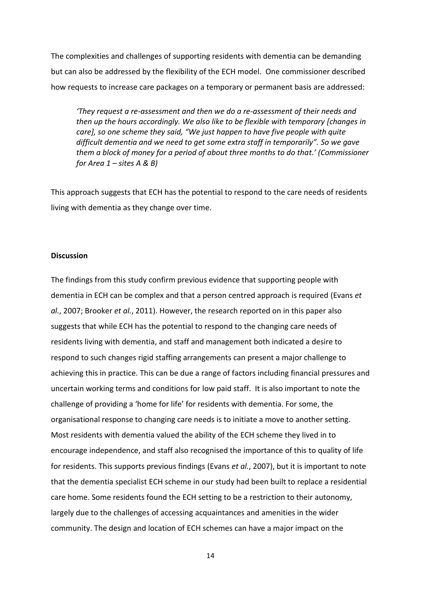The complexities and challenges of supporting residents with dementia can be demanding but can also be addressed by the flexibility of the ECH model. One commissioner described how requests to increase care packages on a temporary or permanent basis are addressed:

*けThey request a re-assessment and then we do a re-assessment of their needs and then up the hours accordingly. We also like to be flexible with temporary [changes in care]*, so one scheme they said, "We just happen to have five people with quite *difficult dementia and we need to get some extra staff in temporarily". So we gave them a block of money for a period of about three months to do that.' (Commissioner for Area 1 に sites A & B)*

This approach suggests that ECH has the potential to respond to the care needs of residents living with dementia as they change over time.

#### **Discussion**

The findings from this study confirm previous evidence that supporting people with dementia in ECH can be complex and that a person centred approach is required (Evans *et al.*, 2007; Brooker *et al.*, 2011). However, the research reported on in this paper also suggests that while ECH has the potential to respond to the changing care needs of residents living with dementia, and staff and management both indicated a desire to respond to such changes rigid staffing arrangements can present a major challenge to achieving this in practice. This can be due a range of factors including financial pressures and uncertain working terms and conditions for low paid staff. It is also important to note the challenge of providing a 'home for life' for residents with dementia. For some, the organisational response to changing care needs is to initiate a move to another setting. Most residents with dementia valued the ability of the ECH scheme they lived in to encourage independence, and staff also recognised the importance of this to quality of life for residents. This supports previous findings (Evans *et al.*, 2007), but it is important to note that the dementia specialist ECH scheme in our study had been built to replace a residential care home. Some residents found the ECH setting to be a restriction to their autonomy, largely due to the challenges of accessing acquaintances and amenities in the wider community. The design and location of ECH schemes can have a major impact on the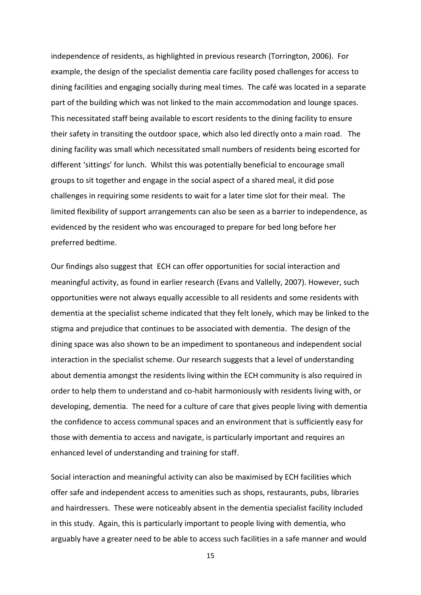independence of residents, as highlighted in previous research (Torrington, 2006). For example, the design of the specialist dementia care facility posed challenges for access to dining facilities and engaging socially during meal times. The café was located in a separate part of the building which was not linked to the main accommodation and lounge spaces. This necessitated staff being available to escort residents to the dining facility to ensure their safety in transiting the outdoor space, which also led directly onto a main road. The dining facility was small which necessitated small numbers of residents being escorted for different 'sittings' for lunch. Whilst this was potentially beneficial to encourage small groups to sit together and engage in the social aspect of a shared meal, it did pose challenges in requiring some residents to wait for a later time slot for their meal. The limited flexibility of support arrangements can also be seen as a barrier to independence, as evidenced by the resident who was encouraged to prepare for bed long before her preferred bedtime.

Our findings also suggest that ECH can offer opportunities for social interaction and meaningful activity, as found in earlier research (Evans and Vallelly, 2007). However, such opportunities were not always equally accessible to all residents and some residents with dementia at the specialist scheme indicated that they felt lonely, which may be linked to the stigma and prejudice that continues to be associated with dementia. The design of the dining space was also shown to be an impediment to spontaneous and independent social interaction in the specialist scheme. Our research suggests that a level of understanding about dementia amongst the residents living within the ECH community is also required in order to help them to understand and co-habit harmoniously with residents living with, or developing, dementia. The need for a culture of care that gives people living with dementia the confidence to access communal spaces and an environment that is sufficiently easy for those with dementia to access and navigate, is particularly important and requires an enhanced level of understanding and training for staff.

Social interaction and meaningful activity can also be maximised by ECH facilities which offer safe and independent access to amenities such as shops, restaurants, pubs, libraries and hairdressers. These were noticeably absent in the dementia specialist facility included in this study. Again, this is particularly important to people living with dementia, who arguably have a greater need to be able to access such facilities in a safe manner and would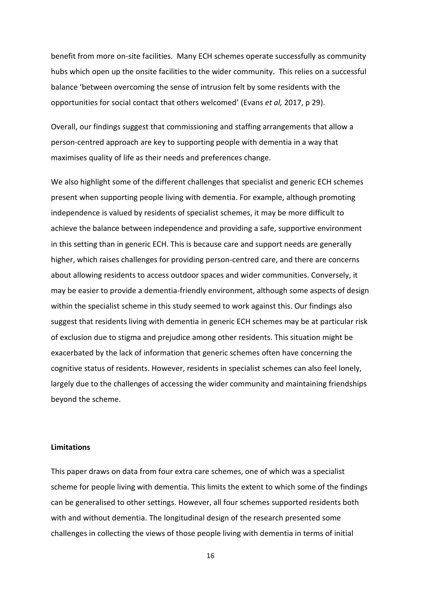benefit from more on-site facilities. Many ECH schemes operate successfully as community hubs which open up the onsite facilities to the wider community. This relies on a successful balance 'between overcoming the sense of intrusion felt by some residents with the opportunities for social contact that others welcomed' (Evans *et al,* 2017, p 29).

Overall, our findings suggest that commissioning and staffing arrangements that allow a person-centred approach are key to supporting people with dementia in a way that maximises quality of life as their needs and preferences change.

We also highlight some of the different challenges that specialist and generic ECH schemes present when supporting people living with dementia. For example, although promoting independence is valued by residents of specialist schemes, it may be more difficult to achieve the balance between independence and providing a safe, supportive environment in this setting than in generic ECH. This is because care and support needs are generally higher, which raises challenges for providing person-centred care, and there are concerns about allowing residents to access outdoor spaces and wider communities. Conversely, it may be easier to provide a dementia-friendly environment, although some aspects of design within the specialist scheme in this study seemed to work against this. Our findings also suggest that residents living with dementia in generic ECH schemes may be at particular risk of exclusion due to stigma and prejudice among other residents. This situation might be exacerbated by the lack of information that generic schemes often have concerning the cognitive status of residents. However, residents in specialist schemes can also feel lonely, largely due to the challenges of accessing the wider community and maintaining friendships beyond the scheme.

#### **Limitations**

This paper draws on data from four extra care schemes, one of which was a specialist scheme for people living with dementia. This limits the extent to which some of the findings can be generalised to other settings. However, all four schemes supported residents both with and without dementia. The longitudinal design of the research presented some challenges in collecting the views of those people living with dementia in terms of initial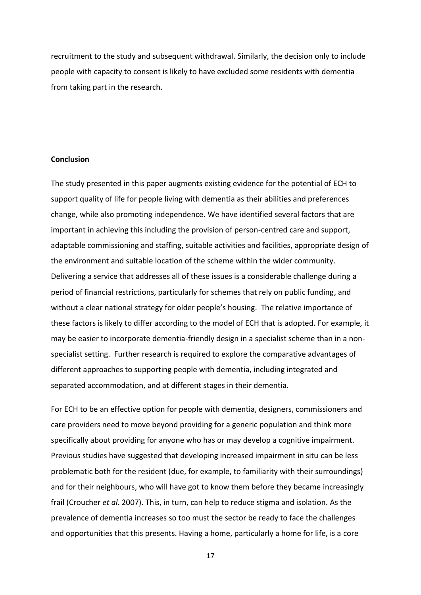recruitment to the study and subsequent withdrawal. Similarly, the decision only to include people with capacity to consent is likely to have excluded some residents with dementia from taking part in the research.

#### **Conclusion**

The study presented in this paper augments existing evidence for the potential of ECH to support quality of life for people living with dementia as their abilities and preferences change, while also promoting independence. We have identified several factors that are important in achieving this including the provision of person-centred care and support, adaptable commissioning and staffing, suitable activities and facilities, appropriate design of the environment and suitable location of the scheme within the wider community. Delivering a service that addresses all of these issues is a considerable challenge during a period of financial restrictions, particularly for schemes that rely on public funding, and without a clear national strategy for older people's housing. The relative importance of these factors is likely to differ according to the model of ECH that is adopted. For example, it may be easier to incorporate dementia-friendly design in a specialist scheme than in a nonspecialist setting. Further research is required to explore the comparative advantages of different approaches to supporting people with dementia, including integrated and separated accommodation, and at different stages in their dementia.

For ECH to be an effective option for people with dementia, designers, commissioners and care providers need to move beyond providing for a generic population and think more specifically about providing for anyone who has or may develop a cognitive impairment. Previous studies have suggested that developing increased impairment in situ can be less problematic both for the resident (due, for example, to familiarity with their surroundings) and for their neighbours, who will have got to know them before they became increasingly frail (Croucher *et al*. 2007). This, in turn, can help to reduce stigma and isolation. As the prevalence of dementia increases so too must the sector be ready to face the challenges and opportunities that this presents. Having a home, particularly a home for life, is a core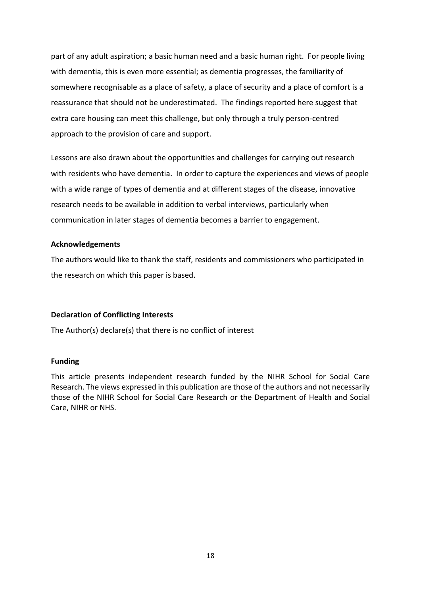part of any adult aspiration; a basic human need and a basic human right. For people living with dementia, this is even more essential; as dementia progresses, the familiarity of somewhere recognisable as a place of safety, a place of security and a place of comfort is a reassurance that should not be underestimated. The findings reported here suggest that extra care housing can meet this challenge, but only through a truly person-centred approach to the provision of care and support.

Lessons are also drawn about the opportunities and challenges for carrying out research with residents who have dementia. In order to capture the experiences and views of people with a wide range of types of dementia and at different stages of the disease, innovative research needs to be available in addition to verbal interviews, particularly when communication in later stages of dementia becomes a barrier to engagement.

#### **Acknowledgements**

The authors would like to thank the staff, residents and commissioners who participated in the research on which this paper is based.

#### **Declaration of Conflicting Interests**

The Author(s) declare(s) that there is no conflict of interest

#### **Funding**

This article presents independent research funded by the NIHR School for Social Care Research. The views expressed in this publication are those of the authors and not necessarily those of the NIHR School for Social Care Research or the Department of Health and Social Care, NIHR or NHS.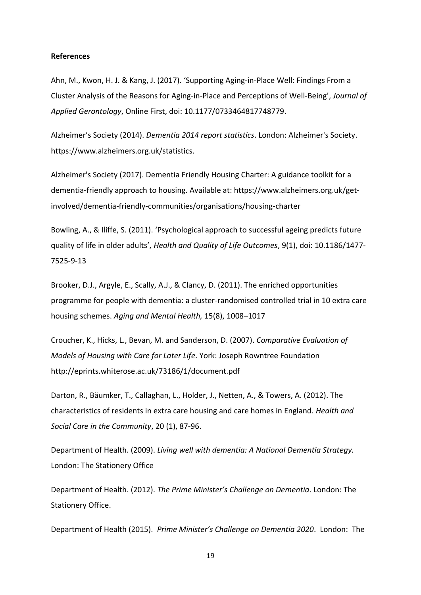#### **References**

Ahn, M., Kwon, H. J. & Kang, J. (2017). 'Supporting Aging-in-Place Well: Findings From a Cluster Analysis of the Reasons for Aging-in-Place and Perceptions of Well-Being', Journal of Applied Gerontology, Online First, doi: 10.1177/0733464817748779.

Alzheimer's Society (2014). Dementia 2014 report statistics. London: Alzheimer's Society. https://www.alzheimers.org.uk/statistics.

Alzheimer's Society (2017). Dementia Friendly Housing Charter: A guidance toolkit for a dementia-friendly approach to housing. Available at: https://www.alzheimers.org.uk/getinvolved/dementia-friendly-communities/organisations/housing-charter

Bowling, A., & Iliffe, S. (2011). 'Psychological approach to successful ageing predicts future quality of life in older adults'. Health and Quality of Life Outcomes, 9(1), doi: 10.1186/1477-7525-9-13

Brooker, D.J., Argyle, E., Scally, A.J., & Clancy, D. (2011). The enriched opportunities programme for people with dementia: a cluster-randomised controlled trial in 10 extra care housing schemes. Aging and Mental Health, 15(8), 1008-1017

Croucher, K., Hicks, L., Bevan, M. and Sanderson, D. (2007). Comparative Evaluation of Models of Housing with Care for Later Life. York: Joseph Rowntree Foundation http://eprints.whiterose.ac.uk/73186/1/document.pdf

Darton, R., Bäumker, T., Callaghan, L., Holder, J., Netten, A., & Towers, A. (2012). The characteristics of residents in extra care housing and care homes in England. Health and Social Care in the Community, 20 (1), 87-96.

Department of Health. (2009). Living well with dementia: A National Dementia Strategy. London: The Stationery Office

Department of Health. (2012). The Prime Minister's Challenge on Dementia. London: The Stationery Office.

Department of Health (2015). Prime Minister's Challenge on Dementia 2020. London: The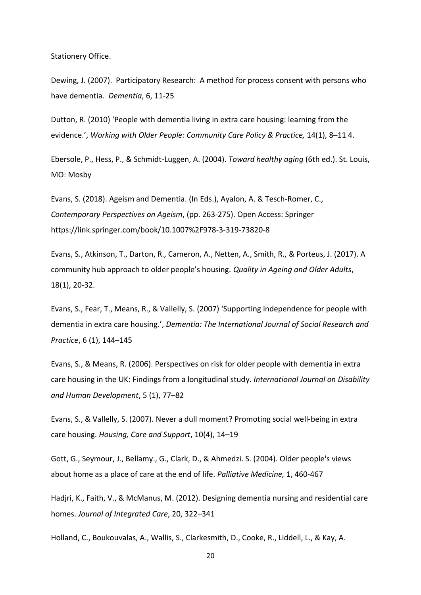Stationery Office.

Dewing, J. (2007). Participatory Research: A method for process consent with persons who have dementia. Dementia, 6, 11-25

Dutton, R. (2010) 'People with dementia living in extra care housing: learning from the evidence.', Working with Older People: Community Care Policy & Practice, 14(1), 8-11 4.

Ebersole, P., Hess, P., & Schmidt-Luggen, A. (2004). Toward healthy aging (6th ed.). St. Louis, MO: Mosby

Evans, S. (2018). Ageism and Dementia. (In Eds.), Ayalon, A. & Tesch-Romer, C., Contemporary Perspectives on Ageism, (pp. 263-275). Open Access: Springer https://link.springer.com/book/10.1007%2F978-3-319-73820-8

Evans, S., Atkinson, T., Darton, R., Cameron, A., Netten, A., Smith, R., & Porteus, J. (2017). A community hub approach to older people's housing. Quality in Ageing and Older Adults,  $18(1)$ , 20-32.

Evans, S., Fear, T., Means, R., & Vallelly, S. (2007) 'Supporting independence for people with dementia in extra care housing.', Dementia: The International Journal of Social Research and Practice, 6 (1), 144-145

Evans, S., & Means, R. (2006). Perspectives on risk for older people with dementia in extra care housing in the UK: Findings from a longitudinal study. International Journal on Disability and Human Development, 5 (1), 77-82

Evans, S., & Vallelly, S. (2007). Never a dull moment? Promoting social well-being in extra care housing. Housing, Care and Support, 10(4), 14-19

Gott, G., Seymour, J., Bellamy., G., Clark, D., & Ahmedzi. S. (2004). Older people's views about home as a place of care at the end of life. Palliative Medicine, 1, 460-467

Hadjri, K., Faith, V., & McManus, M. (2012). Designing dementia nursing and residential care homes. Journal of Integrated Care, 20, 322-341

Holland, C., Boukouvalas, A., Wallis, S., Clarkesmith, D., Cooke, R., Liddell, L., & Kay, A.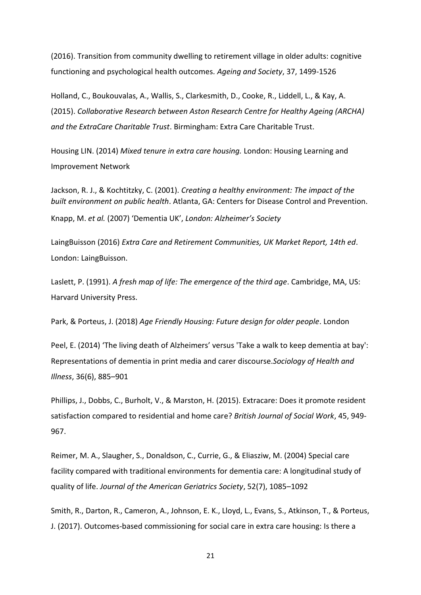(2016). Transition from community dwelling to retirement village in older adults: cognitive functioning and psychological health outcomes. Ageing and Society, 37, 1499-1526

Holland, C., Boukouvalas, A., Wallis, S., Clarkesmith, D., Cooke, R., Liddell, L., & Kay, A. (2015). Collaborative Research between Aston Research Centre for Healthy Ageing (ARCHA) and the ExtraCare Charitable Trust. Birmingham: Extra Care Charitable Trust.

Housing LIN. (2014) Mixed tenure in extra care housing. London: Housing Learning and **Improvement Network** 

Jackson, R. J., & Kochtitzky, C. (2001). Creating a healthy environment: The impact of the built environment on public health. Atlanta, GA: Centers for Disease Control and Prevention. Knapp, M. et al. (2007) 'Dementia UK', London: Alzheimer's Society

LaingBuisson (2016) Extra Care and Retirement Communities, UK Market Report, 14th ed. London: LaingBuisson.

Laslett, P. (1991). A fresh map of life: The emergence of the third age. Cambridge, MA, US: Harvard University Press.

Park, & Porteus, J. (2018) Age Friendly Housing: Future design for older people. London

Peel, E. (2014) 'The living death of Alzheimers' versus 'Take a walk to keep dementia at bay': Representations of dementia in print media and carer discourse. Sociology of Health and Illness, 36(6), 885-901

Phillips, J., Dobbs, C., Burholt, V., & Marston, H. (2015). Extracare: Does it promote resident satisfaction compared to residential and home care? British Journal of Social Work, 45, 949-967.

Reimer, M. A., Slaugher, S., Donaldson, C., Currie, G., & Eliasziw, M. (2004) Special care facility compared with traditional environments for dementia care: A longitudinal study of quality of life. Journal of the American Geriatrics Society, 52(7), 1085-1092

Smith, R., Darton, R., Cameron, A., Johnson, E. K., Lloyd, L., Evans, S., Atkinson, T., & Porteus, J. (2017). Outcomes-based commissioning for social care in extra care housing: Is there a